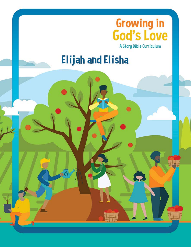

**Elijah and Elisha**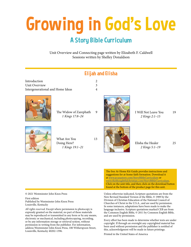# Growing in God's Love

# A Story Bible Curriculum

Unit Overview and Connecting page written by Elizabeth F. Caldwell Sessions written by Shelley Donaldson



The free At-Home Kit Guide provides instructions and suggestions for at-home faith formation. Download it at www.pcusastore.com/StoryBibleCurriculum or www.thethoughtfulchristian.com/StoryBibleCurriculum. Click on the unit title, and then click on the download button found at the bottom of the product page for this unit.

© 2021 Westminster John Knox Press

First edition Published by Westminster John Knox Press Louisville, Kentucky

*All rights reserved*. Except where permission to photocopy is expressly granted on the material, no part of these materials may be reproduced or transmitted in any form or by any means, electronic or mechanical, including photocopying, recording, or by any information storage or retrieval system, without permission in writing from the publisher. For information, address Westminster John Knox Press, 100 Witherspoon Street, Louisville, Kentucky 40202-1396.

Unless otherwise indicated, Scripture quotations are from the New Revised Standard Version of the Bible, © 1989 by the Division of Christian Education of the National Council of Churches of Christ in the U.S.A., and are used by permission. In some instances, adaptations have been made to make the language inclusive. Scripture quotations marked CEB are from the Common English Bible, © 2011 by Common English Bible, and are used by permission.

Every effort has been made to determine whether texts are under copyright. If through an oversight any copyrighted material has been used without permission and the publisher is notified of this, acknowledgment will be made in future printings.

Printed in the United States of America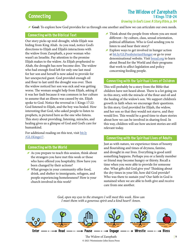## The Widow of Zarephath 1 Kings 17:8–24

Growing in God's Love: A Story Bible, p. 84

Goal: To explore how God provides for us through one another and how we can articulate our own needs.

#### Connecting with the Biblical Text

Our story picks up mid-drought, while Elijah was hiding from King Ahab. As you read, notice God's directions to Elijah and Elijah's interactions with the widow from Zarephath, a poor woman who wasn't an Israelite. Pay attention to the promise Elijah makes to the widow. As Elijah prophesied to Ahab, the drought has now become dire. The widow who had enough food left for only one last meal for her son and herself is now asked to provide for her unexpected guest. God provided enough oil and flour to last until the drought was over. Then the widow noticed her son was sick and was getting worse. The woman sought help from Elijah, asking if it was her fault because it was common in her culture to assume that an illness was caused by sin. Elijah spoke to God. Notice the reversal in 1 Kings 17:22: God listened to Elijah, and the boy was healed. How interesting that God, who asked people to listen to prophets, is pictured here as the one who listens. This story about providing, listening, miracles, and healing gives us a glimpse of God and God's care for humankind.

For additional reading on this text, visit [bit.ly](https://www.workingpreacher.org/commentaries/revised-common-lectionary/ordinary-32-2/commentary-on-1-kings-178-16-3) [/GL1Kings17.](https://www.workingpreacher.org/commentaries/revised-common-lectionary/ordinary-32-2/commentary-on-1-kings-178-16-3)

#### Connecting with the World

- As you prepare to teach this session, think about the strangers you have met this week or those who have offered you hospitality. How have you been changed by their actions?
- g What groups in your community offer food, drink, and shelter to immigrants, refugees, and people experiencing homelessness? How is your church involved in this work?
- $\blacktriangleright$  Think about the people from whom you are most different—by culture, class, sexual orientation, political affiliation. Who is God sending you to listen to and hear their story?
- $\blacktriangleright$  Explore ways to get involved in hunger action at [bit.ly/GLPresbyterianHunger](https://www.presbyterianmission.org/ministries/compassion-peace-justice/hunger/) or go to your denominational website. Visit [bread.org](https://bread.org/) to learn about Bread for the World and their programs that work to affect legislation and policy concerning feeding people.

#### Connecting with the Spiritual Lives of Children

This will probably be a story from the Bible that children have not heard about. There is a lot going on in this story, with the miracle of the flour and oil and the healing of the widow's son. We support children's growth in faith when we encourage their questions. In this story, God provided for Elijah, the widow, and her son so that they would not starve, and they would live. This would be a good time to share stories about how we can be involved in sharing food. In this way, children will see how ancient stories are still relevant today.

#### Connecting with the Spiritual Lives of Adults

Just as with nature, we experience times of bounty and flourishing and times of dryness, famine, and drought in our lives. Everything is good until something happens. Perhaps you or a family member or friend may become hungry or thirsty. Recall a time when you were able to provide for someone else. What gifts did God give you? Thinking about the dry times in your life, how did God provide? Who was there to sustain you? Our faith in God is sustained when we are able to both give and receive care from one another.

*God, open my eyes to the strangers I will meet this week. How can I meet them with a generous spirit and a kind heart? Amen.* 



© 2021 Westminster John Knox Press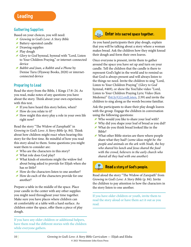## Gathering Supplies

Based on your choices, you will need:

- g *Growing in God's Love: A Story Bible*
- Battery-operated candle
- $\blacktriangleright$  Drawing supplies
- Play dough
- g *Glory to God* hymnal, hymnal with "Lord, Listen to Your Children Praying," or internet-connected device
- g *Babbit and Joan, a Rabbit and a Phone* by Denise Turu (Flyaway Books, 2020) or internetconnected device

## Preparing to Lead

Read the story from the Bible, 1 Kings 17:8–24. As you read, make notes of any questions you have about the story. Think about your own experience with this text.

- $I$  If you have heard this story before, when?
- How do you relate to it?
- $\blacktriangleright$  How might this story play a role in your own life right now?

Read the story "The Widow of Zarephath" in *Growing in God's Love: A Story Bible* (p. 84). Think about how children might react when hearing this story for the first time. Be mindful of how you read this story aloud to them. Some questions you might want them to consider are:

- $\blacktriangleright$  Who are the characters in this story?
- g What role does God play?
- g What kinds of emotions might the widow feel about being asked to provide for Elijah when she has so little?
- $\blacktriangleright$  How do the characters listen to one another?
- How do each of the characters provide for one another?

Prepare a table in the middle of the space. Place your candle in the center with any other supplies you might need throughout your time together. Make sure you have places where children can sit comfortably at a table with a hard surface. As children enter the space, offer them a piece of play dough.

If you have any older children or additional helpers, have them read the different stories with the children while everyone gathers.



## **Enter into sacred space together.**

As you hand participants their play dough, explain that you will be talking about a story where a woman makes bread. Ask the children how they might knead their dough and form their own loaves.

Once everyone is present, invite them to gather around the space you have set up and turn on your candle. Tell the children that the candle is there to represent God's light in the world and to remind us that God is always present and will always listen to the things we need. Invite the children to sing "Lord, Listen to Your Children Praying" (*Glory to God* hymnal, #469), or show the YouTube video "Lord, Listen to Your Children Praying Lyric Video (Ken Medema)" [\(bit.ly/GLLordListen](https://www.youtube.com/watch?v=yh9ivThjOz4), 2:39) and invite the children to sing along as the words become familiar.

Ask the participants to share their play dough loaves with the group. Engage the children in conversation using the following questions:

- g Who would you like to share your loaf with?
- g Why did you shape your loaf of bread as you did?
- $\blacktriangleright$  What do you think bread looked like in the Bible?
- $\blacktriangleright$  What other Bible stories are there where people share what they had? (*some ideas might be: the people and animals on the ark with Noah, the boy who shared his lunch and Jesus shared the food with the crowd, believers in the early church who shared all they had with one another*)



## Read a story of God's people.

Read aloud the story "The Widow of Zarepath" from *Growing in God's Love: A Story Bible* (p. 84). Invite the children to pay attention to how the characters in the story listen to one another.

If you have older children or youth, invite them to read the story aloud or have them act it out as you read.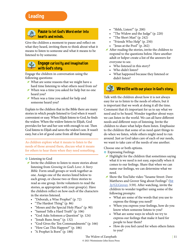## Leading



#### **ADD** Pause to let God's Word enter into hearts and minds.

Give the children a moment to pause and reflect on what they heard, inviting them to think about what it means to listen to someone and what it means to be listened to by someone.

### Engage curiosity and imagination with God's story.

Engage the children in conversation using the following questions:

- $\blacktriangleright$  What are some reasons that we might have a hard time listening to what others need from us?
- g When was a time you asked for help but no one heard you?
- g When was a time you asked for help and someone heard you?

Explain to the children that in the Bible there are many stories in which people listened to God when it wasn't convenient or easy. When Elijah listens to God, he finds the widow. When the widow listens to Elijah, God provides for her and her son with enough to eat. Then God listens to Elijah and saves the widow's son. It wasn't easy, but a lot of good came from all that listening!

As children explore what it means to listen to the needs of those around them, discuss what it means for others to hear them when they need something.

#### **o** Listening to God

- Invite the children to listen to more stories about listening from *Growing in God's Love: A Story Bible*. Form small groups or work together as one. Assign one of the stories listed below to each group, or choose two or three stories to read as one group. Invite volunteers to read the stories, as appropriate with your group(s). Have the children reflect on how each of the characters in the stories listened.
	- "Deborah, a Wise Prophet" (p. 72)
	- "The Hardest Thing" (p. 86)
	- "Moses and the Special Holy Place" (p. 90)
	- "Samuel Tells a Hard Truth" (p. 106)
	- "God Asks Solomon a Question" (p. 124)
	- "Jonah Runs Away" (p. 132)
	- "God Gives the Ten Commandments" (p. 166)
	- "How Can This Happen?" (p. 186)
	- "A Prophet Is Born" (p. 188)
- "Shhh, Listen!" (p. 200)
- "The Widow and the Judge" (p. 220)
- "The Short Man" (p. 242)
- "Friends Who Help" (p. 250)
- "Jesus at the Pool" (p. 262)
- $\blacktriangleright$  After reading the stories, invite the children to respond to the questions below. Have another adult or helper create a list of the answers for everyone to see.
	- Who listened in this story?
	- Who didn't listen?
	- What happened because they listened or didn't listen?

# Wrestle with our place in God's story.

Talk with the children about how it is not always easy for us to listen to the needs of others, but it is important that we work at doing it all the time. Comment that it's important for us to say what we need and to be heard. Wonder together about ways we can listen in the world. We can all have different needs and different ways of listening. Invite the children to share what helps them listen. Emphasize to the children that some of us need quiet things to do when we listen, while others might need to run around. Just as God takes care of each of our needs, we want to take care of the needs of one another.

Choose one or both options.

- **o** Expressing Feelings
- $\blacktriangleright$  Highlight for the children that sometimes saying what it is we need is not easy, especially when it comes to our feelings. Share that when we can name our feelings, we can determine what we need.
- g Show the YouTube video "Sesame Street: Dave Matthews and Grover Sing about Feelings" [\(bit](https://www.youtube.com/watch?v=Po5lHYJJQfw) [.ly/GLGrover,](https://www.youtube.com/watch?v=Po5lHYJJQfw) 3:59). After watching, invite the children to wonder together using some of the following prompts:
	- What are some of the words that you use to express the things you need?
	- When you express your feelings, how do you know when someone listens to you?
	- What are some ways in which we try to express our feelings that make it hard for people to hear them?
	- How do you feel cared for when others listen to you?